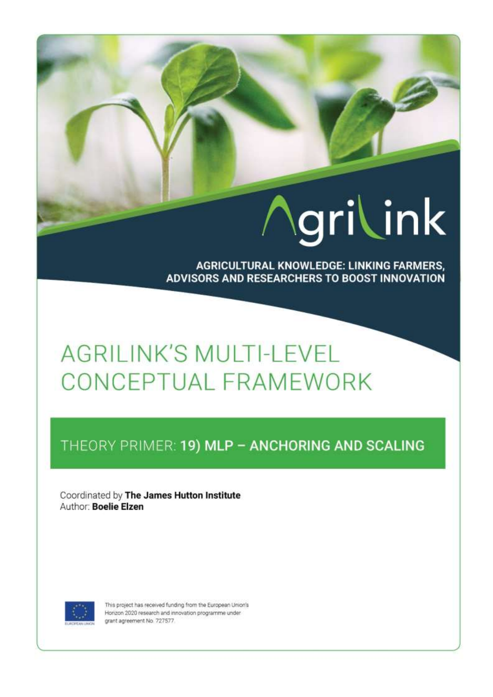# Agrilink

**AGRICULTURAL KNOWLEDGE: LINKING FARMERS,** ADVISORS AND RESEARCHERS TO BOOST INNOVATION

# **AGRILINK'S MULTI-LEVEL** CONCEPTUAL FRAMEWORK

## THEORY PRIMER: 19) MLP - ANCHORING AND SCALING

Coordinated by The James Hutton Institute Author: Boelie Elzen



This project has received funding from the European Union's Horizon 2020 research and innovation programme under grant agreement No. 727577.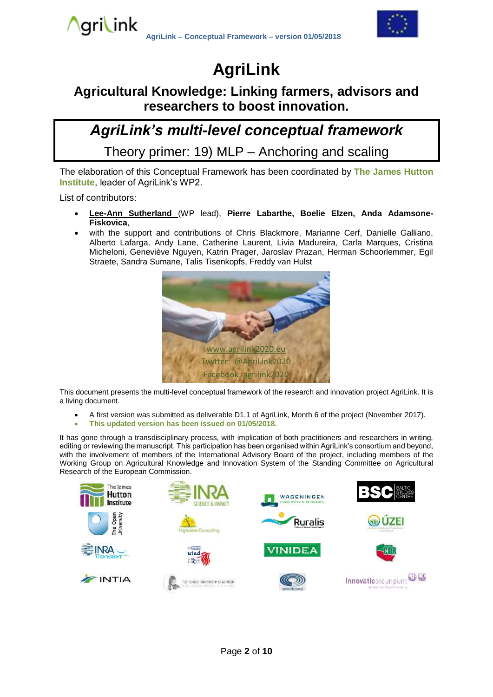

## **AgriLink**

### **Agricultural Knowledge: Linking farmers, advisors and researchers to boost innovation.**

## *AgriLink's multi-level conceptual framework*

Theory primer: 19) MLP – Anchoring and scaling

The elaboration of this Conceptual Framework has been coordinated by **The James Hutton Institute**, leader of AgriLink's WP2.

List of contributors:

- **Lee-Ann Sutherland** (WP lead), **Pierre Labarthe, Boelie Elzen, Anda Adamsone-Fiskovica**,
- with the support and contributions of Chris Blackmore, Marianne Cerf, Danielle Galliano, Alberto Lafarga, Andy Lane, Catherine Laurent, Livia Madureira, Carla Marques, Cristina Micheloni, Geneviève Nguyen, Katrin Prager, Jaroslav Prazan, Herman Schoorlemmer, Egil Straete, Sandra Sumane, Talis Tisenkopfs, Freddy van Hulst



This document presents the multi-level conceptual framework of the research and innovation project AgriLink. It is a living document.

- A first version was submitted as deliverable D1.1 of AgriLink, Month 6 of the project (November 2017).
- **This updated version has been issued on 01/05/2018.**

It has gone through a transdisciplinary process, with implication of both practitioners and researchers in writing, editing or reviewing the manuscript. This participation has been organised within AgriLink's consortium and beyond, with the involvement of members of the International Advisory Board of the project, including members of the Working Group on Agricultural Knowledge and Innovation System of the Standing Committee on Agricultural Research of the European Commission.

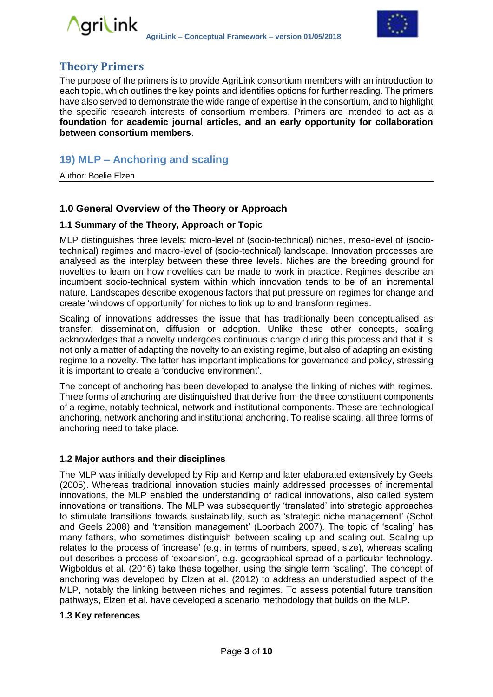



#### **Theory Primers**

The purpose of the primers is to provide AgriLink consortium members with an introduction to each topic, which outlines the key points and identifies options for further reading. The primers have also served to demonstrate the wide range of expertise in the consortium, and to highlight the specific research interests of consortium members. Primers are intended to act as a **foundation for academic journal articles, and an early opportunity for collaboration between consortium members**.

#### **19) MLP – Anchoring and scaling**

Author: Boelie Elzen

#### **1.0 General Overview of the Theory or Approach**

#### **1.1 Summary of the Theory, Approach or Topic**

MLP distinguishes three levels: micro-level of (socio-technical) niches, meso-level of (sociotechnical) regimes and macro-level of (socio-technical) landscape. Innovation processes are analysed as the interplay between these three levels. Niches are the breeding ground for novelties to learn on how novelties can be made to work in practice. Regimes describe an incumbent socio-technical system within which innovation tends to be of an incremental nature. Landscapes describe exogenous factors that put pressure on regimes for change and create 'windows of opportunity' for niches to link up to and transform regimes.

Scaling of innovations addresses the issue that has traditionally been conceptualised as transfer, dissemination, diffusion or adoption. Unlike these other concepts, scaling acknowledges that a novelty undergoes continuous change during this process and that it is not only a matter of adapting the novelty to an existing regime, but also of adapting an existing regime to a novelty. The latter has important implications for governance and policy, stressing it is important to create a 'conducive environment'.

The concept of anchoring has been developed to analyse the linking of niches with regimes. Three forms of anchoring are distinguished that derive from the three constituent components of a regime, notably technical, network and institutional components. These are technological anchoring, network anchoring and institutional anchoring. To realise scaling, all three forms of anchoring need to take place.

#### **1.2 Major authors and their disciplines**

The MLP was initially developed by Rip and Kemp and later elaborated extensively by Geels (2005). Whereas traditional innovation studies mainly addressed processes of incremental innovations, the MLP enabled the understanding of radical innovations, also called system innovations or transitions. The MLP was subsequently 'translated' into strategic approaches to stimulate transitions towards sustainability, such as 'strategic niche management' (Schot and Geels 2008) and 'transition management' (Loorbach 2007). The topic of 'scaling' has many fathers, who sometimes distinguish between scaling up and scaling out. Scaling up relates to the process of 'increase' (e.g. in terms of numbers, speed, size), whereas scaling out describes a process of 'expansion', e.g. geographical spread of a particular technology. Wigboldus et al. (2016) take these together, using the single term 'scaling'. The concept of anchoring was developed by Elzen at al. (2012) to address an understudied aspect of the MLP, notably the linking between niches and regimes. To assess potential future transition pathways, Elzen et al. have developed a scenario methodology that builds on the MLP.

#### **1.3 Key references**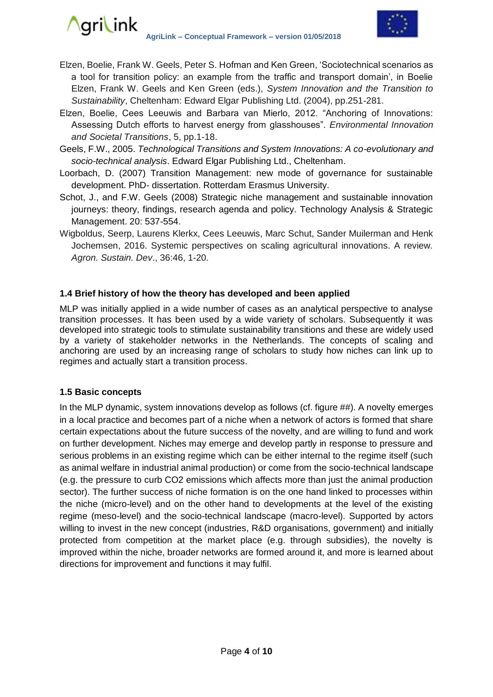#### ∧qri\ink **AgriLink – Conceptual Framework – version 01/05/2018**



- Elzen, Boelie, Frank W. Geels, Peter S. Hofman and Ken Green, 'Sociotechnical scenarios as a tool for transition policy: an example from the traffic and transport domain', in Boelie Elzen, Frank W. Geels and Ken Green (eds.), *System Innovation and the Transition to Sustainability*, Cheltenham: Edward Elgar Publishing Ltd. (2004), pp.251-281.
- Elzen, Boelie, Cees Leeuwis and Barbara van Mierlo, 2012. "Anchoring of Innovations: Assessing Dutch efforts to harvest energy from glasshouses". *Environmental Innovation and Societal Transitions*, 5, pp.1-18.
- Geels, F.W., 2005. *Technological Transitions and System Innovations: A co-evolutionary and socio-technical analysis*. Edward Elgar Publishing Ltd., Cheltenham.
- Loorbach, D. (2007) Transition Management: new mode of governance for sustainable development. PhD- dissertation. Rotterdam Erasmus University.
- Schot, J., and F.W. Geels (2008) Strategic niche management and sustainable innovation journeys: theory, findings, research agenda and policy. Technology Analysis & Strategic Management. 20: 537-554.
- Wigboldus, Seerp, Laurens Klerkx, Cees Leeuwis, Marc Schut, Sander Muilerman and Henk Jochemsen, 2016. Systemic perspectives on scaling agricultural innovations. A review. *Agron. Sustain. Dev*., 36:46, 1-20.

#### **1.4 Brief history of how the theory has developed and been applied**

MLP was initially applied in a wide number of cases as an analytical perspective to analyse transition processes. It has been used by a wide variety of scholars. Subsequently it was developed into strategic tools to stimulate sustainability transitions and these are widely used by a variety of stakeholder networks in the Netherlands. The concepts of scaling and anchoring are used by an increasing range of scholars to study how niches can link up to regimes and actually start a transition process.

#### **1.5 Basic concepts**

In the MLP dynamic, system innovations develop as follows (cf. figure ##). A novelty emerges in a local practice and becomes part of a niche when a network of actors is formed that share certain expectations about the future success of the novelty, and are willing to fund and work on further development. Niches may emerge and develop partly in response to pressure and serious problems in an existing regime which can be either internal to the regime itself (such as animal welfare in industrial animal production) or come from the socio-technical landscape (e.g. the pressure to curb CO2 emissions which affects more than just the animal production sector). The further success of niche formation is on the one hand linked to processes within the niche (micro-level) and on the other hand to developments at the level of the existing regime (meso-level) and the socio-technical landscape (macro-level). Supported by actors willing to invest in the new concept (industries, R&D organisations, government) and initially protected from competition at the market place (e.g. through subsidies), the novelty is improved within the niche, broader networks are formed around it, and more is learned about directions for improvement and functions it may fulfil.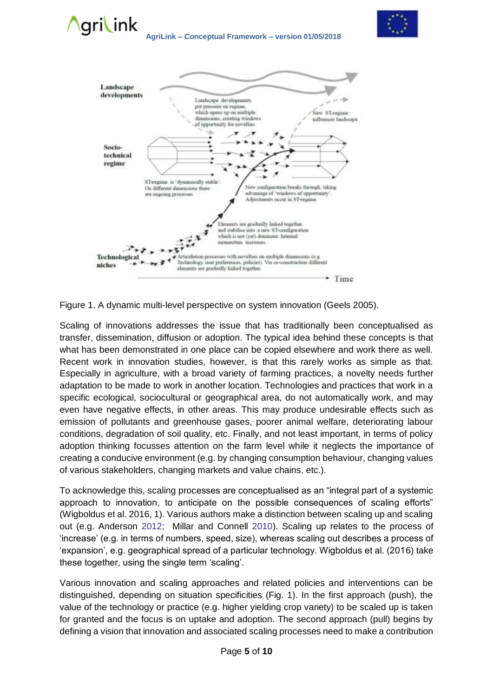





Figure 1. A dynamic multi-level perspective on system innovation (Geels 2005).

Scaling of innovations addresses the issue that has traditionally been conceptualised as transfer, dissemination, diffusion or adoption. The typical idea behind these concepts is that what has been demonstrated in one place can be copied elsewhere and work there as well. Recent work in innovation studies, however, is that this rarely works as simple as that. Especially in agriculture, with a broad variety of farming practices, a novelty needs further adaptation to be made to work in another location. Technologies and practices that work in a specific ecological, sociocultural or geographical area, do not automatically work, and may even have negative effects, in other areas. This may produce undesirable effects such as emission of pollutants and greenhouse gases, poorer animal welfare, deteriorating labour conditions, degradation of soil quality, etc. Finally, and not least important, in terms of policy adoption thinking focusses attention on the farm level while it neglects the importance of creating a conducive environment (e.g. by changing consumption behaviour, changing values of various stakeholders, changing markets and value chains, etc.).

To acknowledge this, scaling processes are conceptualised as an "integral part of a systemic approach to innovation, to anticipate on the possible consequences of scaling efforts" (Wigboldus et al. 2016, 1). Various authors make a distinction between scaling up and scaling out (e.g. Anderson 2012; Millar and Connell 2010). Scaling up relates to the process of 'increase' (e.g. in terms of numbers, speed, size), whereas scaling out describes a process of 'expansion', e.g. geographical spread of a particular technology. Wigboldus et al. (2016) take these together, using the single term 'scaling'.

Various innovation and scaling approaches and related policies and interventions can be distinguished, depending on situation specificities (Fig. 1). In the first approach (push), the value of the technology or practice (e.g. higher yielding crop variety) to be scaled up is taken for granted and the focus is on uptake and adoption. The second approach (pull) begins by defining a vision that innovation and associated scaling processes need to make a contribution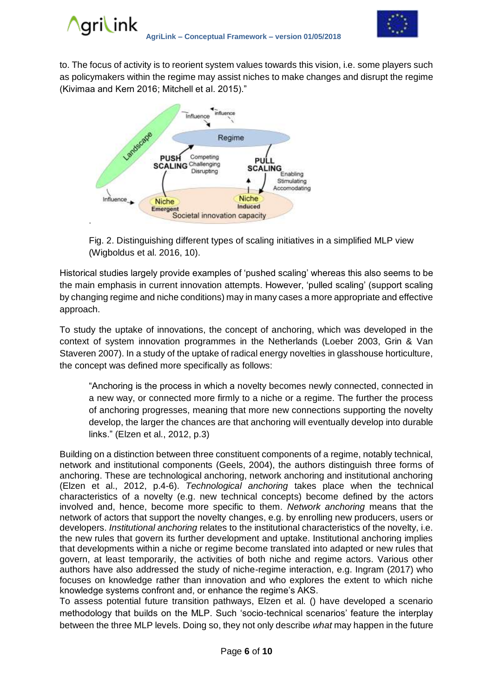

to. The focus of activity is to reorient system values towards this vision, i.e. some players such as policymakers within the regime may assist niches to make changes and disrupt the regime (Kivimaa and Kern 2016; Mitchell et al. 2015)."



Fig. 2. Distinguishing different types of scaling initiatives in a simplified MLP view (Wigboldus et al. 2016, 10).

Historical studies largely provide examples of 'pushed scaling' whereas this also seems to be the main emphasis in current innovation attempts. However, 'pulled scaling' (support scaling by changing regime and niche conditions) may in many cases a more appropriate and effective approach.

To study the uptake of innovations, the concept of anchoring, which was developed in the context of system innovation programmes in the Netherlands (Loeber 2003, Grin & Van Staveren 2007). In a study of the uptake of radical energy novelties in glasshouse horticulture, the concept was defined more specifically as follows:

"Anchoring is the process in which a novelty becomes newly connected, connected in a new way, or connected more firmly to a niche or a regime. The further the process of anchoring progresses, meaning that more new connections supporting the novelty develop, the larger the chances are that anchoring will eventually develop into durable links." (Elzen et al., 2012, p.3)

Building on a distinction between three constituent components of a regime, notably technical, network and institutional components (Geels, 2004), the authors distinguish three forms of anchoring. These are technological anchoring, network anchoring and institutional anchoring (Elzen et al., 2012, p.4-6). *Technological anchoring* takes place when the technical characteristics of a novelty (e.g. new technical concepts) become defined by the actors involved and, hence, become more specific to them. *Network anchoring* means that the network of actors that support the novelty changes, e.g. by enrolling new producers, users or developers. *Institutional anchoring* relates to the institutional characteristics of the novelty, i.e. the new rules that govern its further development and uptake. Institutional anchoring implies that developments within a niche or regime become translated into adapted or new rules that govern, at least temporarily, the activities of both niche and regime actors. Various other authors have also addressed the study of niche-regime interaction, e.g. Ingram (2017) who focuses on knowledge rather than innovation and who explores the extent to which niche knowledge systems confront and, or enhance the regime's AKS.

To assess potential future transition pathways, Elzen et al. () have developed a scenario methodology that builds on the MLP. Such 'socio-technical scenarios' feature the interplay between the three MLP levels. Doing so, they not only describe *what* may happen in the future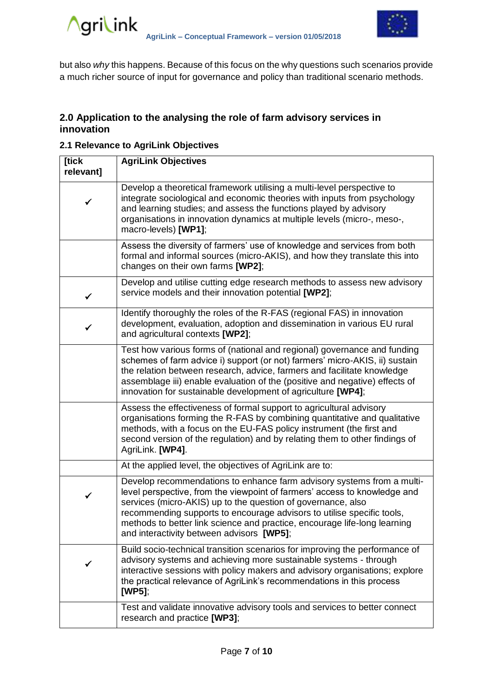

but also *why* this happens. Because of this focus on the why questions such scenarios provide a much richer source of input for governance and policy than traditional scenario methods.

#### **2.0 Application to the analysing the role of farm advisory services in innovation**

#### **2.1 Relevance to AgriLink Objectives**

| [tick<br>relevant] | <b>AgriLink Objectives</b>                                                                                                                                                                                                                                                                                                                                                                                              |
|--------------------|-------------------------------------------------------------------------------------------------------------------------------------------------------------------------------------------------------------------------------------------------------------------------------------------------------------------------------------------------------------------------------------------------------------------------|
| ✔                  | Develop a theoretical framework utilising a multi-level perspective to<br>integrate sociological and economic theories with inputs from psychology<br>and learning studies; and assess the functions played by advisory<br>organisations in innovation dynamics at multiple levels (micro-, meso-,<br>macro-levels) [WP1];                                                                                              |
|                    | Assess the diversity of farmers' use of knowledge and services from both<br>formal and informal sources (micro-AKIS), and how they translate this into<br>changes on their own farms [WP2];                                                                                                                                                                                                                             |
| $\checkmark$       | Develop and utilise cutting edge research methods to assess new advisory<br>service models and their innovation potential [WP2];                                                                                                                                                                                                                                                                                        |
|                    | Identify thoroughly the roles of the R-FAS (regional FAS) in innovation<br>development, evaluation, adoption and dissemination in various EU rural<br>and agricultural contexts [WP2];                                                                                                                                                                                                                                  |
|                    | Test how various forms of (national and regional) governance and funding<br>schemes of farm advice i) support (or not) farmers' micro-AKIS, ii) sustain<br>the relation between research, advice, farmers and facilitate knowledge<br>assemblage iii) enable evaluation of the (positive and negative) effects of<br>innovation for sustainable development of agriculture [WP4];                                       |
|                    | Assess the effectiveness of formal support to agricultural advisory<br>organisations forming the R-FAS by combining quantitative and qualitative<br>methods, with a focus on the EU-FAS policy instrument (the first and<br>second version of the regulation) and by relating them to other findings of<br>AgriLink. [WP4].                                                                                             |
|                    | At the applied level, the objectives of AgriLink are to:                                                                                                                                                                                                                                                                                                                                                                |
| ✓                  | Develop recommendations to enhance farm advisory systems from a multi-<br>level perspective, from the viewpoint of farmers' access to knowledge and<br>services (micro-AKIS) up to the question of governance, also<br>recommending supports to encourage advisors to utilise specific tools,<br>methods to better link science and practice, encourage life-long learning<br>and interactivity between advisors [WP5]; |
|                    | Build socio-technical transition scenarios for improving the performance of<br>advisory systems and achieving more sustainable systems - through<br>interactive sessions with policy makers and advisory organisations; explore<br>the practical relevance of AgriLink's recommendations in this process<br>$[WP5]$ ;                                                                                                   |
|                    | Test and validate innovative advisory tools and services to better connect<br>research and practice [WP3];                                                                                                                                                                                                                                                                                                              |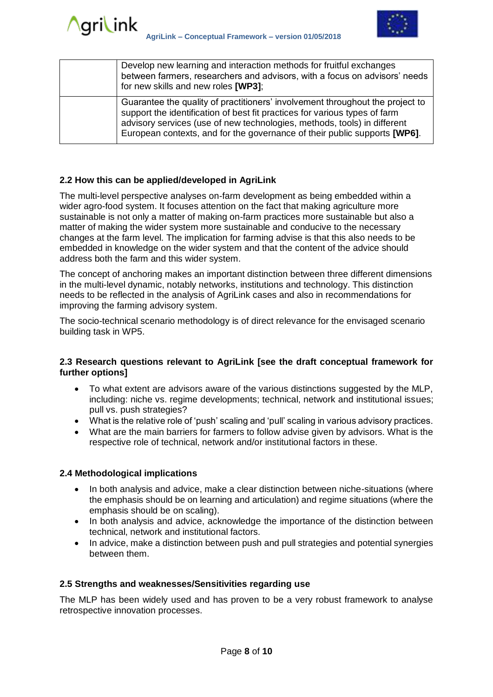

| Develop new learning and interaction methods for fruitful exchanges<br>between farmers, researchers and advisors, with a focus on advisors' needs<br>for new skills and new roles [WP3];                                                                                                                             |
|----------------------------------------------------------------------------------------------------------------------------------------------------------------------------------------------------------------------------------------------------------------------------------------------------------------------|
| Guarantee the quality of practitioners' involvement throughout the project to<br>support the identification of best fit practices for various types of farm<br>advisory services (use of new technologies, methods, tools) in different<br>European contexts, and for the governance of their public supports [WP6]. |

#### **2.2 How this can be applied/developed in AgriLink**

The multi-level perspective analyses on-farm development as being embedded within a wider agro-food system. It focuses attention on the fact that making agriculture more sustainable is not only a matter of making on-farm practices more sustainable but also a matter of making the wider system more sustainable and conducive to the necessary changes at the farm level. The implication for farming advise is that this also needs to be embedded in knowledge on the wider system and that the content of the advice should address both the farm and this wider system.

The concept of anchoring makes an important distinction between three different dimensions in the multi-level dynamic, notably networks, institutions and technology. This distinction needs to be reflected in the analysis of AgriLink cases and also in recommendations for improving the farming advisory system.

The socio-technical scenario methodology is of direct relevance for the envisaged scenario building task in WP5.

#### **2.3 Research questions relevant to AgriLink [see the draft conceptual framework for further options]**

- To what extent are advisors aware of the various distinctions suggested by the MLP, including: niche vs. regime developments; technical, network and institutional issues; pull vs. push strategies?
- What is the relative role of 'push' scaling and 'pull' scaling in various advisory practices.
- What are the main barriers for farmers to follow advise given by advisors. What is the respective role of technical, network and/or institutional factors in these.

#### **2.4 Methodological implications**

- In both analysis and advice, make a clear distinction between niche-situations (where the emphasis should be on learning and articulation) and regime situations (where the emphasis should be on scaling).
- In both analysis and advice, acknowledge the importance of the distinction between technical, network and institutional factors.
- In advice, make a distinction between push and pull strategies and potential synergies between them.

#### **2.5 Strengths and weaknesses/Sensitivities regarding use**

The MLP has been widely used and has proven to be a very robust framework to analyse retrospective innovation processes.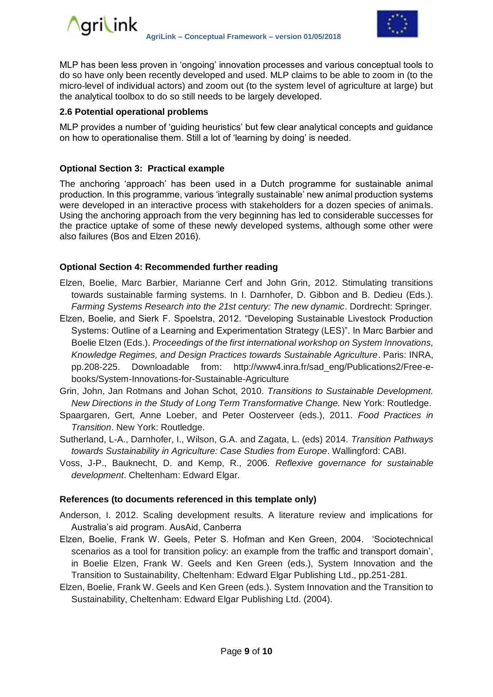

MLP has been less proven in 'ongoing' innovation processes and various conceptual tools to do so have only been recently developed and used. MLP claims to be able to zoom in (to the micro-level of individual actors) and zoom out (to the system level of agriculture at large) but the analytical toolbox to do so still needs to be largely developed.

#### **2.6 Potential operational problems**

MLP provides a number of 'guiding heuristics' but few clear analytical concepts and guidance on how to operationalise them. Still a lot of 'learning by doing' is needed.

#### **Optional Section 3: Practical example**

The anchoring 'approach' has been used in a Dutch programme for sustainable animal production. In this programme, various 'integrally sustainable' new animal production systems were developed in an interactive process with stakeholders for a dozen species of animals. Using the anchoring approach from the very beginning has led to considerable successes for the practice uptake of some of these newly developed systems, although some other were also failures (Bos and Elzen 2016).

#### **Optional Section 4: Recommended further reading**

- Elzen, Boelie, Marc Barbier, Marianne Cerf and John Grin, 2012. Stimulating transitions towards sustainable farming systems. In I. Darnhofer, D. Gibbon and B. Dedieu (Eds.). *Farming Systems Research into the 21st century: The new dynamic*. Dordrecht: Springer.
- Elzen, Boelie, and Sierk F. Spoelstra, 2012. "Developing Sustainable Livestock Production Systems: Outline of a Learning and Experimentation Strategy (LES)". In Marc Barbier and Boelie Elzen (Eds.). *Proceedings of the first international workshop on System Innovations, Knowledge Regimes, and Design Practices towards Sustainable Agriculture*. Paris: INRA, pp.208-225. Downloadable from: [http://www4.inra.fr/sad\\_eng/Publications2/Free-e](http://www4.inra.fr/sad_eng/Publications2/Free-e-books/System-Innovations-for-Sustainable-Agriculture)[books/System-Innovations-for-Sustainable-Agriculture](http://www4.inra.fr/sad_eng/Publications2/Free-e-books/System-Innovations-for-Sustainable-Agriculture)
- Grin, John, Jan Rotmans and Johan Schot, 2010. *Transitions to Sustainable Development. New Directions in the Study of Long Term Transformative Change.* New York: Routledge.
- Spaargaren, Gert, Anne Loeber, and Peter Oosterveer (eds.), 2011. *Food Practices in Transition*. New York: Routledge.
- Sutherland, L-A., Darnhofer, I., Wilson, G.A. and Zagata, L. (eds) 2014. *Transition Pathways towards Sustainability in Agriculture: Case Studies from Europe*. Wallingford: CABI.
- Voss, J-P., Bauknecht, D. and Kemp, R., 2006. *Reflexive governance for sustainable development*. Cheltenham: Edward Elgar.

#### **References (to documents referenced in this template only)**

- Anderson, I. 2012. Scaling development results. A literature review and implications for Australia's aid program. AusAid, Canberra
- Elzen, Boelie, Frank W. Geels, Peter S. Hofman and Ken Green, 2004. 'Sociotechnical scenarios as a tool for transition policy: an example from the traffic and transport domain', in Boelie Elzen, Frank W. Geels and Ken Green (eds.), System Innovation and the Transition to Sustainability, Cheltenham: Edward Elgar Publishing Ltd., pp.251-281.
- Elzen, Boelie, Frank W. Geels and Ken Green (eds.). System Innovation and the Transition to Sustainability, Cheltenham: Edward Elgar Publishing Ltd. (2004).